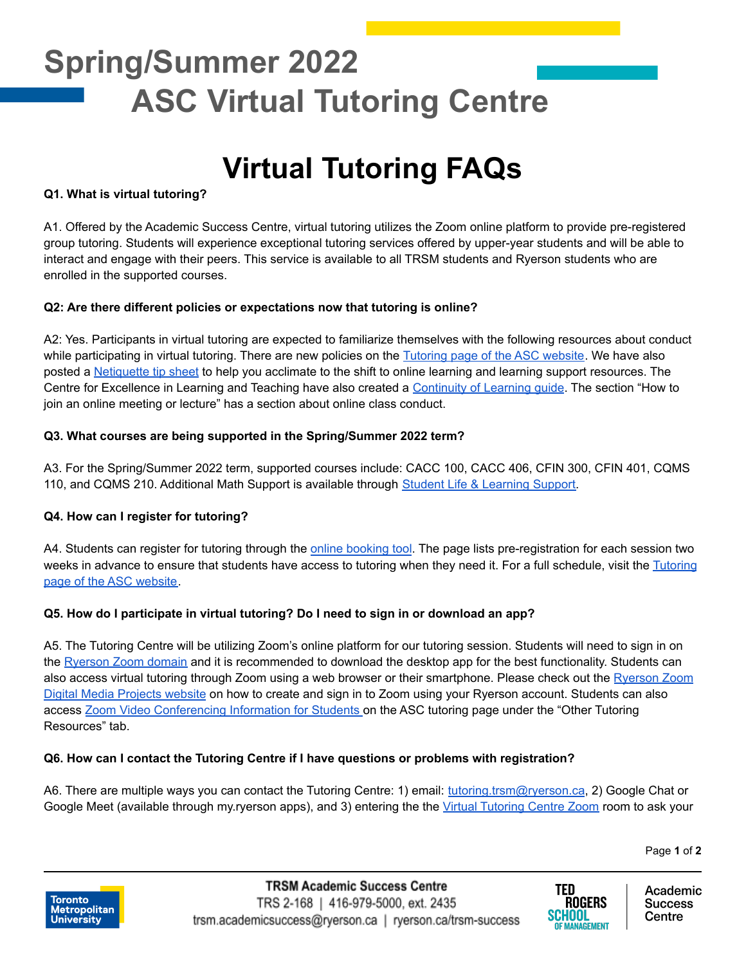## **Spring/Summer 2022 ASC Virtual Tutoring Centre**

### **Virtual Tutoring FAQs**

#### **Q1. What is virtual tutoring?**

A1. Offered by the Academic Success Centre, virtual tutoring utilizes the Zoom online platform to provide pre-registered group tutoring. Students will experience exceptional tutoring services offered by upper-year students and will be able to interact and engage with their peers. This service is available to all TRSM students and Ryerson students who are enrolled in the supported courses.

#### **Q2: Are there different policies or expectations now that tutoring is online?**

A2: Yes. Participants in virtual tutoring are expected to familiarize themselves with the following resources about conduct while participating in virtual tutoring. There are new policies on the [Tutoring](https://www.ryerson.ca/tedrogersschool/success/programs-supports/tutoring/) page of the ASC website. We have also posted a [Netiquette](https://www.ryerson.ca/content/dam/tedrogersschool/success/resources/ASC_TipSheet_Netiquette.v01.pdf) tip sheet to help you acclimate to the shift to online learning and learning support resources. The Centre for Excellence in Learning and Teaching have also created a [Continuity](https://www.ryerson.ca/centre-for-excellence-in-learning-and-teaching/learning-guide/#online-meetings) of Learning guide. The section "How to join an online meeting or lecture" has a section about online class conduct.

#### **Q3. What courses are being supported in the Spring/Summer 2022 term?**

A3. For the Spring/Summer 2022 term, supported courses include: CACC 100, CACC 406, CFIN 300, CFIN 401, CQMS 110, and CQMS 210. Additional Math Support is available through Student Life & [Learning](https://www.ryerson.ca/student-life-and-learning/learning-support/math-support/) Support.

#### **Q4. How can I register for tutoring?**

A4. Students can register for tutoring through the online [booking](https://ss.cf.ryerson.ca/SLS/Student_TRSM/student_login.cfm) tool. The page lists pre-registration for each session two weeks in advance to ensure that students have access to tutoring when they need it. For a full schedule, visit the [Tutoring](https://www.ryerson.ca/tedrogersschool/success/programs-supports/tutoring/) page of the ASC [website](https://www.ryerson.ca/tedrogersschool/success/programs-supports/tutoring/).

#### **Q5. How do I participate in virtual tutoring? Do I need to sign in or download an app?**

A5. The Tutoring Centre will be utilizing Zoom's online platform for our tutoring session. Students will need to sign in on the [Ryerson](https://ryerson.zoom.us/) Zoom domain and it is recommended to download the desktop app for the best functionality. Students can also access virtual tutoring through Zoom using a web browser or their smartphone. Please check out the [Ryerson](https://www.ryerson.ca/digital-media-projects/tools/zoom/how-to-sign-in-with-sso/) Zoom Digital Media [Projects](https://www.ryerson.ca/digital-media-projects/tools/zoom/how-to-sign-in-with-sso/) website on how to create and sign in to Zoom using your Ryerson account. Students can also access Zoom Video [Conferencing](https://www.ryerson.ca/tedrogersschool/success/programs-supports/tutoring/) Information for Students on the ASC tutoring page under the "Other Tutoring Resources" tab.

#### **Q6. How can I contact the Tutoring Centre if I have questions or problems with registration?**

A6. There are multiple ways you can contact the Tutoring Centre: 1) email: [tutoring.trsm@ryerson.ca](mailto:tutoring.trsm@ryerson.ca), 2) Google Chat or Google Meet (available through my.ryerson apps), and 3) entering the the Virtual [Tutoring](https://ryerson.zoom.us/j/92240425216?pwd=R0lEdEJqVk5SSHhOaWhPbmRXeU5yZz09) Centre Zoom room to ask your

Page **1** of **2**





Academic **Success** Centre